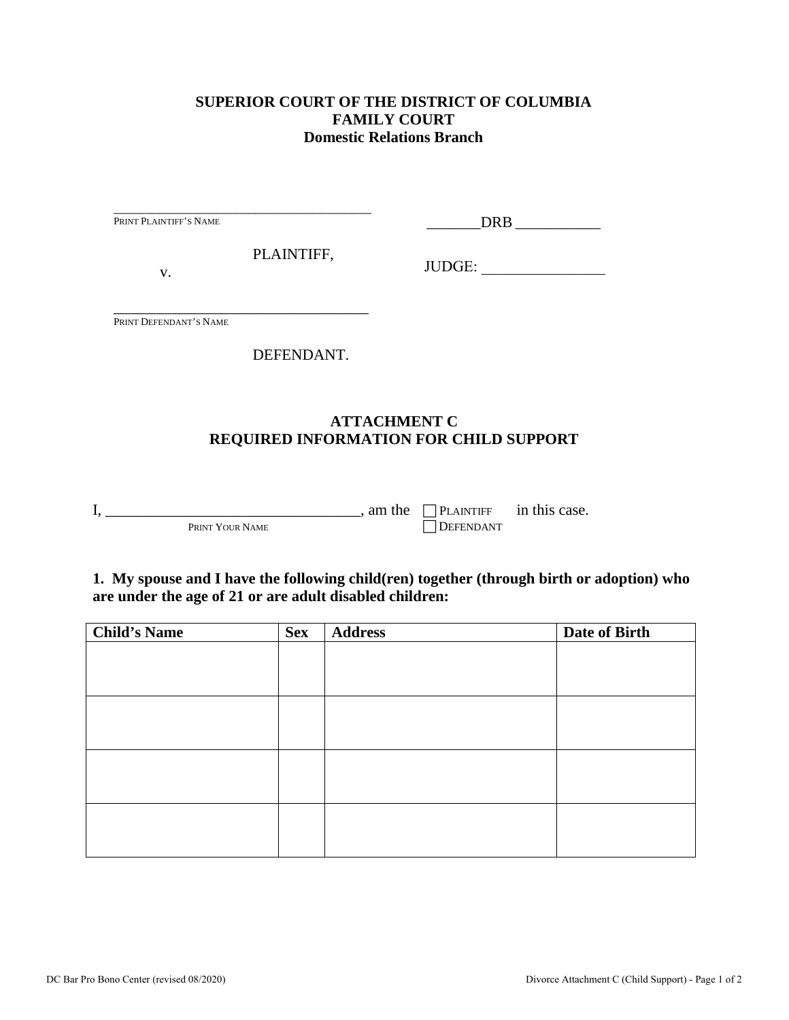## **SUPERIOR COURT OF THE DISTRICT OF COLUMBIA FAMILY COURT Domestic Relations Branch**

| PRINT PLAINTIFF'S NAME |                                               |                     |        |  |
|------------------------|-----------------------------------------------|---------------------|--------|--|
| V.                     | PLAINTIFF,                                    |                     | JUDGE: |  |
| PRINT DEFENDANT'S NAME |                                               |                     |        |  |
|                        | DEFENDANT.                                    |                     |        |  |
|                        |                                               | <b>ATTACHMENT C</b> |        |  |
|                        | <b>REQUIRED INFORMATION FOR CHILD SUPPORT</b> |                     |        |  |

| <b>Child's Name</b> | <b>Sex</b> | <b>Address</b> | Date of Birth |
|---------------------|------------|----------------|---------------|
|                     |            |                |               |
|                     |            |                |               |
|                     |            |                |               |
|                     |            |                |               |
|                     |            |                |               |
|                     |            |                |               |
|                     |            |                |               |
|                     |            |                |               |
|                     |            |                |               |
|                     |            |                |               |
|                     |            |                |               |
|                     |            |                |               |